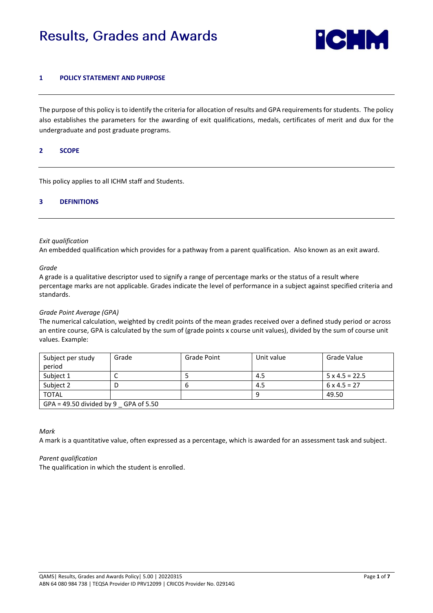# **Results, Grades and Awards**



## **1 POLICY STATEMENT AND PURPOSE**

The purpose of this policy is to identify the criteria for allocation of results and GPA requirements for students. The policy also establishes the parameters for the awarding of exit qualifications, medals, certificates of merit and dux for the undergraduate and post graduate programs.

## **2 SCOPE**

This policy applies to all ICHM staff and Students.

# **3 DEFINITIONS**

#### *Exit qualification*

An embedded qualification which provides for a pathway from a parent qualification. Also known as an exit award.

*Grade* 

A grade is a qualitative descriptor used to signify a range of percentage marks or the status of a result where percentage marks are not applicable. Grades indicate the level of performance in a subject against specified criteria and standards.

# *Grade Point Average (GPA)*

The numerical calculation, weighted by credit points of the mean grades received over a defined study period or across an entire course, GPA is calculated by the sum of (grade points x course unit values), divided by the sum of course unit values. Example:

| Subject per study                      | Grade | Grade Point | Unit value | Grade Value           |  |  |
|----------------------------------------|-------|-------------|------------|-----------------------|--|--|
| period                                 |       |             |            |                       |  |  |
| Subject 1                              | ֊     |             | 4.5        | $5 \times 4.5 = 22.5$ |  |  |
| Subject 2                              |       | O           | 4.5        | $6 \times 4.5 = 27$   |  |  |
| <b>TOTAL</b>                           |       |             | 9          | 49.50                 |  |  |
| GPA = $49.50$ divided by 9 GPA of 5.50 |       |             |            |                       |  |  |

*Mark* 

A mark is a quantitative value, often expressed as a percentage, which is awarded for an assessment task and subject.

# *Parent qualification*

The qualification in which the student is enrolled.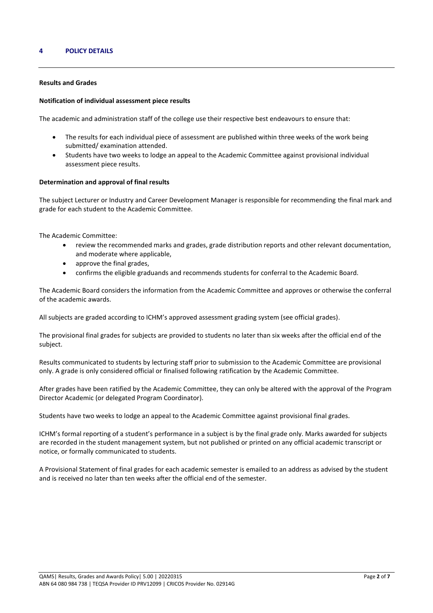## **4 POLICY DETAILS**

#### **Results and Grades**

#### **Notification of individual assessment piece results**

The academic and administration staff of the college use their respective best endeavours to ensure that:

- The results for each individual piece of assessment are published within three weeks of the work being submitted/ examination attended.
- Students have two weeks to lodge an appeal to the Academic Committee against provisional individual assessment piece results.

#### **Determination and approval of final results**

The subject Lecturer or Industry and Career Development Manager is responsible for recommending the final mark and grade for each student to the Academic Committee.

The Academic Committee:

- review the recommended marks and grades, grade distribution reports and other relevant documentation, and moderate where applicable,
- approve the final grades,
- confirms the eligible graduands and recommends students for conferral to the Academic Board.

The Academic Board considers the information from the Academic Committee and approves or otherwise the conferral of the academic awards.

All subjects are graded according to ICHM's approved assessment grading system (see official grades).

The provisional final grades for subjects are provided to students no later than six weeks after the official end of the subject.

Results communicated to students by lecturing staff prior to submission to the Academic Committee are provisional only. A grade is only considered official or finalised following ratification by the Academic Committee.

After grades have been ratified by the Academic Committee, they can only be altered with the approval of the Program Director Academic (or delegated Program Coordinator).

Students have two weeks to lodge an appeal to the Academic Committee against provisional final grades.

ICHM's formal reporting of a student's performance in a subject is by the final grade only. Marks awarded for subjects are recorded in the student management system, but not published or printed on any official academic transcript or notice, or formally communicated to students.

A Provisional Statement of final grades for each academic semester is emailed to an address as advised by the student and is received no later than ten weeks after the official end of the semester.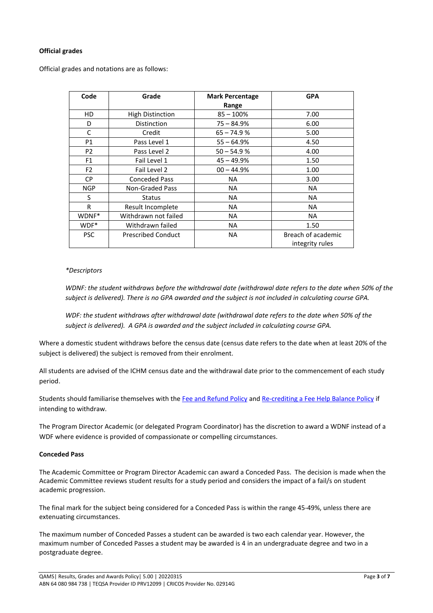# **Official grades**

Official grades and notations are as follows:

| Code           | Grade                     | <b>Mark Percentage</b> | <b>GPA</b>         |  |
|----------------|---------------------------|------------------------|--------------------|--|
|                |                           | Range                  |                    |  |
| HD             | <b>High Distinction</b>   | $85 - 100\%$           | 7.00               |  |
| D              | Distinction               | $75 - 84.9%$           | 6.00               |  |
| C              | Credit                    | $65 - 74.9%$           | 5.00               |  |
| P1             | Pass Level 1              | $55 - 64.9%$           | 4.50               |  |
| P <sub>2</sub> | Pass Level 2              | $50 - 54.9%$           | 4.00               |  |
| F <sub>1</sub> | Fail Level 1              | $45 - 49.9%$           | 1.50               |  |
| F <sub>2</sub> | Fail Level 2              | $00 - 44.9%$           | 1.00               |  |
| CP.            | <b>Conceded Pass</b>      | <b>NA</b>              | 3.00               |  |
| <b>NGP</b>     | Non-Graded Pass           | NA.                    | NA                 |  |
| S              | <b>Status</b>             | <b>NA</b>              | NA.                |  |
| R              | Result Incomplete         | NA.                    | NA                 |  |
| WDNF*          | Withdrawn not failed      | NA.                    | NA.                |  |
| WDF*           | Withdrawn failed          | <b>NA</b>              | 1.50               |  |
| <b>PSC</b>     | <b>Prescribed Conduct</b> | <b>NA</b>              | Breach of academic |  |
|                |                           |                        | integrity rules    |  |

## *\*Descriptors*

*WDNF: the student withdraws before the withdrawal date (withdrawal date refers to the date when 50% of the subject is delivered). There is no GPA awarded and the subject is not included in calculating course GPA.*

*WDF: the student withdraws after withdrawal date (withdrawal date refers to the date when 50% of the subject is delivered). A GPA is awarded and the subject included in calculating course GPA.* 

Where a domestic student withdraws before the census date (census date refers to the date when at least 20% of the subject is delivered) the subject is removed from their enrolment.

All students are advised of the ICHM census date and the withdrawal date prior to the commencement of each study period.

Students should familiarise themselves with th[e Fee and Refund Policy](https://www.ichm.edu.au/about-ichm/student-policies-and-procedures) and [Re-crediting a Fee Help Balance Policy](https://www.ichm.edu.au/about-ichm/student-policies-and-procedures) if intending to withdraw.

The Program Director Academic (or delegated Program Coordinator) has the discretion to award a WDNF instead of a WDF where evidence is provided of compassionate or compelling circumstances.

# **Conceded Pass**

The Academic Committee or Program Director Academic can award a Conceded Pass. The decision is made when the Academic Committee reviews student results for a study period and considers the impact of a fail/s on student academic progression.

The final mark for the subject being considered for a Conceded Pass is within the range 45-49%, unless there are extenuating circumstances.

The maximum number of Conceded Passes a student can be awarded is two each calendar year. However, the maximum number of Conceded Passes a student may be awarded is 4 in an undergraduate degree and two in a postgraduate degree.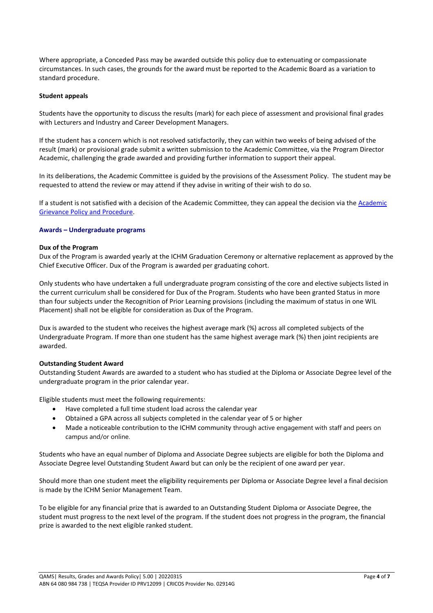Where appropriate, a Conceded Pass may be awarded outside this policy due to extenuating or compassionate circumstances. In such cases, the grounds for the award must be reported to the Academic Board as a variation to standard procedure.

## **Student appeals**

Students have the opportunity to discuss the results (mark) for each piece of assessment and provisional final grades with Lecturers and Industry and Career Development Managers.

If the student has a concern which is not resolved satisfactorily, they can within two weeks of being advised of the result (mark) or provisional grade submit a written submission to the Academic Committee, via the Program Director Academic, challenging the grade awarded and providing further information to support their appeal.

In its deliberations, the Academic Committee is guided by the provisions of the Assessment Policy. The student may be requested to attend the review or may attend if they advise in writing of their wish to do so.

If a student is not satisfied with a decision of the Academic Committee, they can appeal the decision via th[e Academic](https://www.ichm.edu.au/about-ichm/student-policies-and-procedures)  [Grievance Policy and Procedure.](https://www.ichm.edu.au/about-ichm/student-policies-and-procedures)

## **Awards – Undergraduate programs**

#### **Dux of the Program**

Dux of the Program is awarded yearly at the ICHM Graduation Ceremony or alternative replacement as approved by the Chief Executive Officer. Dux of the Program is awarded per graduating cohort.

Only students who have undertaken a full undergraduate program consisting of the core and elective subjects listed in the current curriculum shall be considered for Dux of the Program. Students who have been granted Status in more than four subjects under the Recognition of Prior Learning provisions (including the maximum of status in one WIL Placement) shall not be eligible for consideration as Dux of the Program.

Dux is awarded to the student who receives the highest average mark (%) across all completed subjects of the Undergraduate Program. If more than one student has the same highest average mark (%) then joint recipients are awarded.

# **Outstanding Student Award**

Outstanding Student Awards are awarded to a student who has studied at the Diploma or Associate Degree level of the undergraduate program in the prior calendar year.

Eligible students must meet the following requirements:

- Have completed a full time student load across the calendar year
- Obtained a GPA across all subjects completed in the calendar year of 5 or higher
- Made a noticeable contribution to the ICHM community through active engagement with staff and peers on campus and/or online.

Students who have an equal number of Diploma and Associate Degree subjects are eligible for both the Diploma and Associate Degree level Outstanding Student Award but can only be the recipient of one award per year.

Should more than one student meet the eligibility requirements per Diploma or Associate Degree level a final decision is made by the ICHM Senior Management Team.

To be eligible for any financial prize that is awarded to an Outstanding Student Diploma or Associate Degree, the student must progress to the next level of the program. If the student does not progress in the program, the financial prize is awarded to the next eligible ranked student.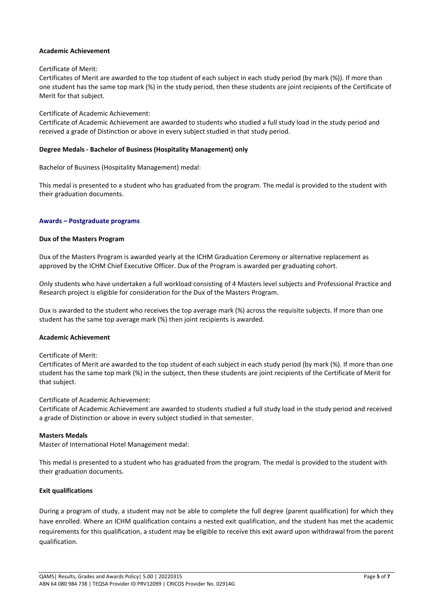## **Academic Achievement**

## Certificate of Merit:

Certificates of Merit are awarded to the top student of each subject in each study period (by mark (%)). If more than one student has the same top mark (%) in the study period, then these students are joint recipients of the Certificate of Merit for that subject.

## Certificate of Academic Achievement:

Certificate of Academic Achievement are awarded to students who studied a full study load in the study period and received a grade of Distinction or above in every subject studied in that study period.

## **Degree Medals - Bachelor of Business (Hospitality Management) only**

Bachelor of Business (Hospitality Management) medal:

This medal is presented to a student who has graduated from the program. The medal is provided to the student with their graduation documents.

## **Awards – Postgraduate programs**

## **Dux of the Masters Program**

Dux of the Masters Program is awarded yearly at the ICHM Graduation Ceremony or alternative replacement as approved by the ICHM Chief Executive Officer. Dux of the Program is awarded per graduating cohort.

Only students who have undertaken a full workload consisting of 4 Masters level subjects and Professional Practice and Research project is eligible for consideration for the Dux of the Masters Program.

Dux is awarded to the student who receives the top average mark (%) across the requisite subjects. If more than one student has the same top average mark (%) then joint recipients is awarded.

#### **Academic Achievement**

#### Certificate of Merit:

Certificates of Merit are awarded to the top student of each subject in each study period (by mark (%). If more than one student has the same top mark (%) in the subject, then these students are joint recipients of the Certificate of Merit for that subject.

# Certificate of Academic Achievement:

Certificate of Academic Achievement are awarded to students studied a full study load in the study period and received a grade of Distinction or above in every subject studied in that semester.

# **Masters Medals**

Master of International Hotel Management medal:

This medal is presented to a student who has graduated from the program. The medal is provided to the student with their graduation documents.

# **Exit qualifications**

During a program of study, a student may not be able to complete the full degree (parent qualification) for which they have enrolled. Where an ICHM qualification contains a nested exit qualification, and the student has met the academic requirements for this qualification, a student may be eligible to receive this exit award upon withdrawal from the parent qualification.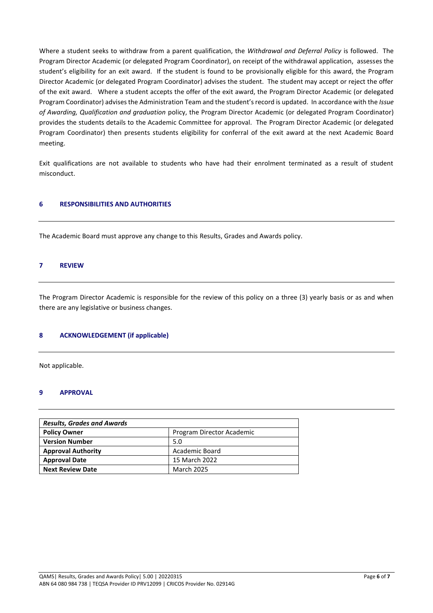Where a student seeks to withdraw from a parent qualification, the *Withdrawal and Deferral Policy* is followed. The Program Director Academic (or delegated Program Coordinator), on receipt of the withdrawal application, assesses the student's eligibility for an exit award. If the student is found to be provisionally eligible for this award, the Program Director Academic (or delegated Program Coordinator) advises the student. The student may accept or reject the offer of the exit award. Where a student accepts the offer of the exit award, the Program Director Academic (or delegated Program Coordinator) advisesthe Administration Team and the student's record is updated. In accordance with the *Issue of Awarding, Qualification and graduation* policy, the Program Director Academic (or delegated Program Coordinator) provides the students details to the Academic Committee for approval. The Program Director Academic (or delegated Program Coordinator) then presents students eligibility for conferral of the exit award at the next Academic Board meeting.

Exit qualifications are not available to students who have had their enrolment terminated as a result of student misconduct.

# **6 RESPONSIBILITIES AND AUTHORITIES**

The Academic Board must approve any change to this Results, Grades and Awards policy.

#### **7 REVIEW**

The Program Director Academic is responsible for the review of this policy on a three (3) yearly basis or as and when there are any legislative or business changes.

#### **8 ACKNOWLEDGEMENT (if applicable)**

Not applicable.

#### **9 APPROVAL**

| <b>Results, Grades and Awards</b> |                           |  |  |  |
|-----------------------------------|---------------------------|--|--|--|
| <b>Policy Owner</b>               | Program Director Academic |  |  |  |
| <b>Version Number</b>             | 5.0                       |  |  |  |
| <b>Approval Authority</b>         | Academic Board            |  |  |  |
| <b>Approval Date</b>              | 15 March 2022             |  |  |  |
| <b>Next Review Date</b>           | <b>March 2025</b>         |  |  |  |